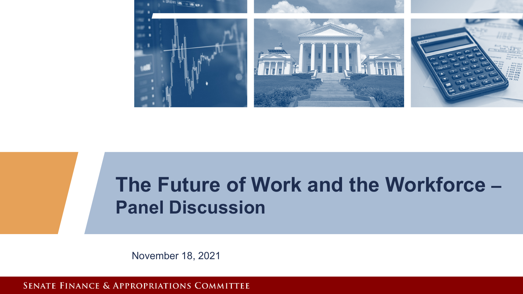

## **The Future of Work and the Workforce – Panel Discussion**

SENATE FINANCE & APPROPRIATIONS COMMITTEE

November 18, 2021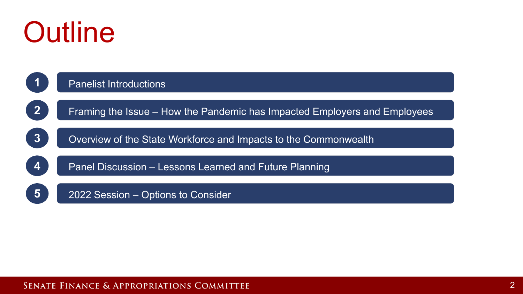# **Outline**

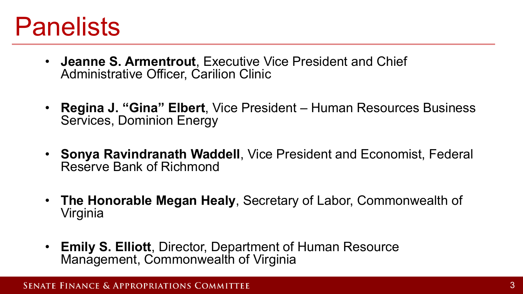# **Panelists**

- **Jeanne S. Armentrout**, Executive Vice President and Chief Administrative Officer, Carilion Clinic
- **Regina J. "Gina" Elbert**, Vice President Human Resources Business Services, Dominion Energy
- **Sonya Ravindranath Waddell**, Vice President and Economist, Federal Reserve Bank of Richmond
- **The Honorable Megan Healy**, Secretary of Labor, Commonwealth of Virginia
- **Emily S. Elliott**, Director, Department of Human Resource Management, Commonwealth of Virginia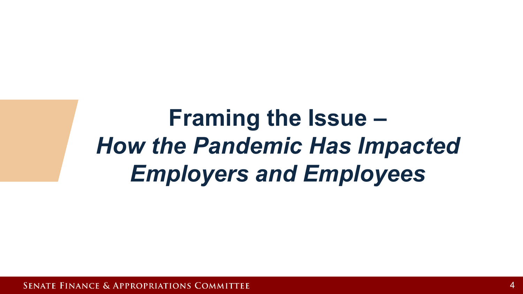# **How the Pandemic Has Impacted Framing the Issue –** *Employers and Employees*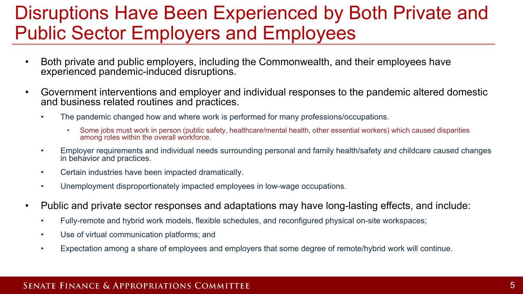## Disruptions Have Been Experienced by Both Private and Public Sector Employers and Employees

- Both private and public employers, including the Commonwealth, and their employees have experienced pandemic-induced disruptions.
- Government interventions and employer and individual responses to the pandemic altered domestic and business related routines and practices.
	- The pandemic changed how and where work is performed for many professions/occupations.
		- Some jobs must work in person (public safety, healthcare/mental health, other essential workers) which caused disparities among roles within the overall workforce.
	- Employer requirements and individual needs surrounding personal and family health/safety and childcare caused changes<br>in behavior and practices in behavior and practices.
	- Certain industries have been impacted dramatically.
	- Unemployment disproportionately impacted employees in low-wage occupations.
- Public and private sector responses and adaptations may have long-lasting effects, and include:
	- Fully-remote and hybrid work models, flexible schedules, and reconfigured physical on-site workspaces;
	- Use of virtual communication platforms; and
	- Expectation among a share of employees and employers that some degree of remote/hybrid work will continue.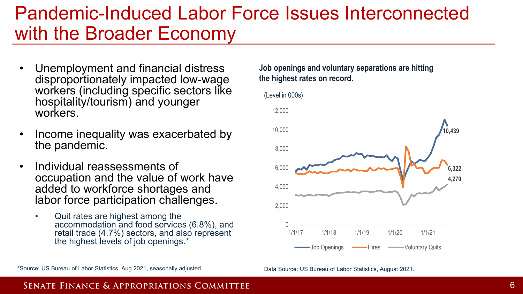### Pandemic-Induced Labor Force Issues Interconnected with the Broader Economy

- Unemployment and financial distress disproportionately impacted low-wage workers (including specific sectors like hospitality/tourism) and younger workers.
- Income inequality was exacerbated by the pandemic.
- Individual reassessments of occupation and the value of work have added to workforce shortages and labor force participation challenges.
	- Quit rates are highest among the accommodation and food services (6.8%), and retail trade (4.7%) sectors, and also represent the highest levels of job openings.\*

**Job openings and voluntary separations are hitting the highest rates on record.** 



Data Source: US Bureau of Labor Statistics, August 2021.

\*Source: US Bureau of Labor Statistics, Aug 2021, seasonally adjusted.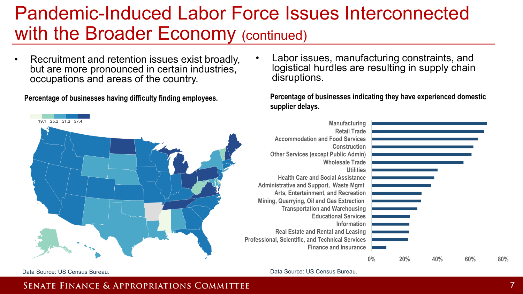### Pandemic-Induced Labor Force Issues Interconnected with the Broader Economy (continued)

• Recruitment and retention issues exist broadly, but are more pronounced in certain industries, occupations and areas of the country.

**Percentage of businesses having difficulty finding employees.** 



• Labor issues, manufacturing constraints, and logistical hurdles are resulting in supply chain disruptions.

**Percentage of businesses indicating they have experienced domestic supplier delays.** 



Data Source: US Census Bureau.

Data Source: US Census Bureau.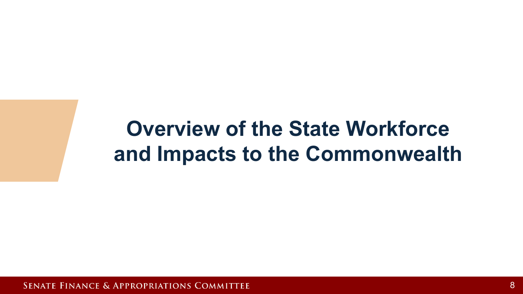## and Impacts to the Commonwealth **Overview of the State Workforce**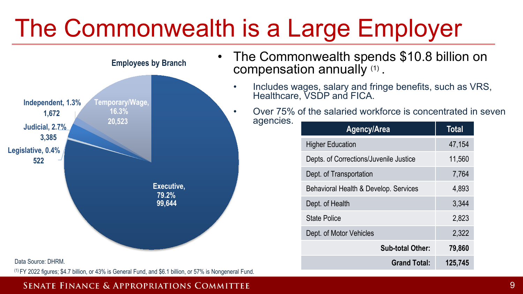# The Commonwealth is a Large Employer



- The Commonwealth spends \$10.8 billion on compensation annually (1) .
	- Includes wages, salary and fringe benefits, such as VRS, Healthcare, VSDP and FICA.
	- Over 75% of the salaried workforce is concentrated in seven agencies.

| Agency/Area                            | <b>Total</b> |
|----------------------------------------|--------------|
| <b>Higher Education</b>                | 47,154       |
| Depts. of Corrections/Juvenile Justice | 11,560       |
| Dept. of Transportation                | 7,764        |
| Behavioral Health & Develop. Services  | 4,893        |
| Dept. of Health                        | 3,344        |
| State Police                           | 2,823        |
| Dept. of Motor Vehicles                | 2,322        |
| <b>Sub-total Other:</b>                | 79,860       |
| <b>Grand Total:</b>                    | 125,745      |

#### Data Source: DHRM.

(1) FY 2022 figures; \$4.7 billion, or 43% is General Fund, and \$6.1 billion, or 57% is Nongeneral Fund.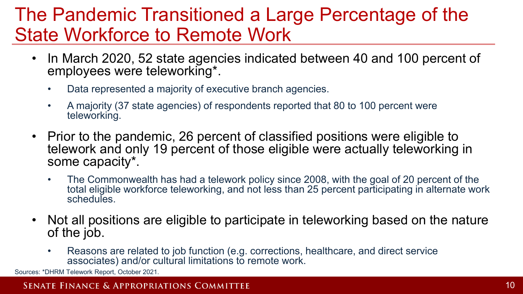## The Pandemic Transitioned a Large Percentage of the State Workforce to Remote Work

- In March 2020, 52 state agencies indicated between 40 and 100 percent of employees were teleworking\*.
	- Data represented a majority of executive branch agencies.
	- A majority (37 state agencies) of respondents reported that 80 to 100 percent were teleworking.
- telework and only 19 percent of those eligible were actually teleworking in • Prior to the pandemic, 26 percent of classified positions were eligible to some capacity\*.
	- The Commonwealth has had a telework policy since 2008, with the goal of 20 percent of the total eligible workforce teleworking, and not less than 25 percent participating in alternate work schedules.
- Not all positions are eligible to participate in teleworking based on the nature of the job.
	- Reasons are related to job function (e.g. corrections, healthcare, and direct service associates) and/or cultural limitations to remote work.

Sources: \*DHRM Telework Report, October 2021.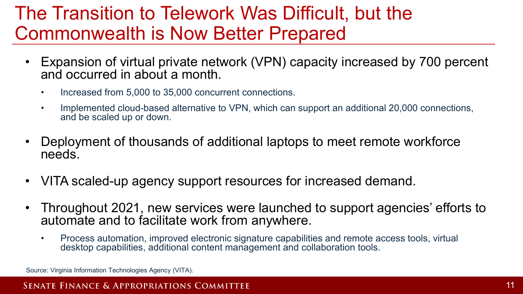## The Transition to Telework Was Difficult, but the Commonwealth is Now Better Prepared

- Expansion of virtual private network (VPN) capacity increased by 700 percent and occurred in about a month.
	- Increased from 5,000 to 35,000 concurrent connections.
	- Implemented cloud-based alternative to VPN, which can support an additional 20,000 connections, and be scaled up or down.
- Deployment of thousands of additional laptops to meet remote workforce needs.
- VITA scaled-up agency support resources for increased demand.
- Throughout 2021, new services were launched to support agencies' efforts to automate and to facilitate work from anywhere.
	- Process automation, improved electronic signature capabilities and remote access tools, virtual desktop capabilities, additional content management and collaboration tools.

Source: Virginia Information Technologies Agency (VITA).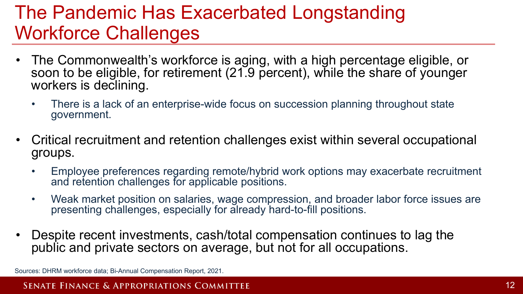## The Pandemic Has Exacerbated Longstanding Workforce Challenges

- The Commonwealth's workforce is aging, with a high percentage eligible, or soon to be eligible, for retirement (21.9 percent), while the share of younger workers is declining.
	- There is a lack of an enterprise-wide focus on succession planning throughout state government.
- Critical recruitment and retention challenges exist within several occupational groups.
	- Employee preferences regarding remote/hybrid work options may exacerbate recruitment and retention challenges for applicable positions.
	- Weak market position on salaries, wage compression, and broader labor force issues are presenting challenges, especially for already hard-to-fill positions.
- Despite recent investments, cash/total compensation continues to lag the public and private sectors on average, but not for all occupations.

Sources: DHRM workforce data; Bi-Annual Compensation Report, 2021.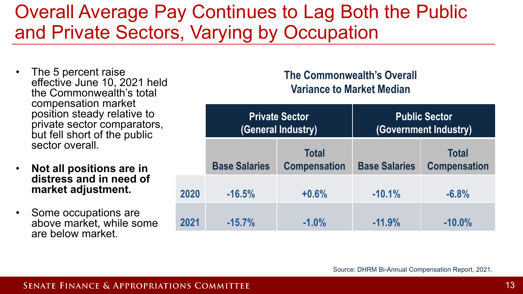## Overall Average Pay Continues to Lag Both the Public and Private Sectors, Varying by Occupation

- The 5 percent raise effective June 10, 2021 held the Commonwealth's total compensation market position steady relative to private sector comparators, but fell short of the public sector overall.
- **Not all positions are in distress and in need of market adjustment.**
- Some occupations are above market, while some are below market.

#### **The Commonwealth's Overall Variance to Market Median**

| e to<br>ators,<br>blic<br>in |      | <b>Private Sector</b><br>(General Industry) |                                     | <b>Public Sector</b><br>(Government Industry) |                                     |
|------------------------------|------|---------------------------------------------|-------------------------------------|-----------------------------------------------|-------------------------------------|
|                              |      | <b>Base Salaries</b>                        | <b>Total</b><br><b>Compensation</b> | <b>Base Salaries</b>                          | <b>Total</b><br><b>Compensation</b> |
| of                           | 2020 | $-16.5%$                                    | $+0.6%$                             | $-10.1%$                                      | $-6.8%$                             |
| ₿<br>ome                     | 2021 | $-15.7%$                                    | $-1.0%$                             | $-11.9%$                                      | $-10.0%$                            |

Source: DHRM Bi-Annual Compensation Report, 2021.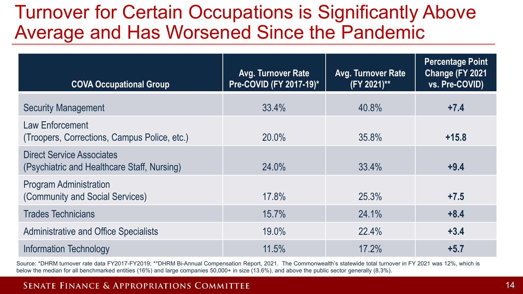## Turnover for Certain Occupations is Significantly Above Average and Has Worsened Since the Pandemic

| <b>COVA Occupational Group</b>                                                  | Avg. Turnover Rate<br>Pre-COVID (FY 2017-19)* | <b>Avg. Turnover Rate</b><br>(FY 2021)** | <b>Percentage Point</b><br>Change (FY 2021<br>vs. Pre-COVID) |
|---------------------------------------------------------------------------------|-----------------------------------------------|------------------------------------------|--------------------------------------------------------------|
| <b>Security Management</b>                                                      | 33.4%                                         | 40.8%                                    | $+7.4$                                                       |
| Law Enforcement<br>(Troopers, Corrections, Campus Police, etc.)                 | 20.0%                                         | 35.8%                                    | $+15.8$                                                      |
| <b>Direct Service Associates</b><br>(Psychiatric and Healthcare Staff, Nursing) | 24.0%                                         | 33.4%                                    | $+9.4$                                                       |
| <b>Program Administration</b><br>(Community and Social Services)                | 17.8%                                         | 25.3%                                    | $+7.5$                                                       |
| <b>Trades Technicians</b>                                                       | 15.7%                                         | 24.1%                                    | $+8.4$                                                       |
| <b>Administrative and Office Specialists</b>                                    | 19.0%                                         | 22.4%                                    | $+3.4$                                                       |
| Information Technology                                                          | 11.5%                                         | 17.2%                                    | $+5.7$                                                       |

Source: \*DHRM turnover rate data FY2017-FY2019; \*\*DHRM Bi-Annual Compensation Report, 2021. The Commonwealth's statewide total turnover in FY 2021 was 12%, which is below the median for all benchmarked entities (16%) and large companies 50,000+ in size (13.6%), and above the public sector generally (8.3%).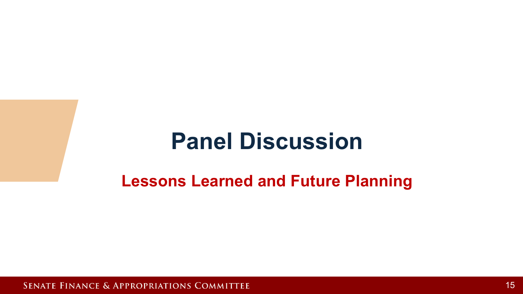## **Panel Discussion**

### **Lessons Learned and Future Planning**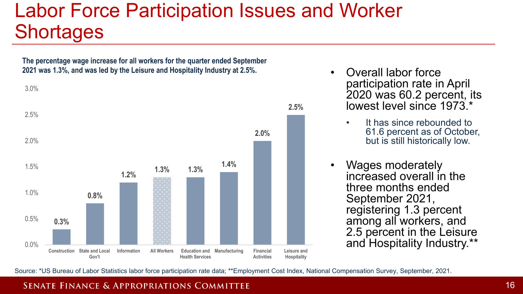## Labor Force Participation Issues and Worker **Shortages**

**The percentage wage increase for all workers for the quarter ended September 2021 was 1.3%, and was led by the Leisure and Hospitality Industry at 2.5%.** 



- Overall labor force participation rate in April 2020 was 60.2 percent, its lowest level since 1973<sup>\*</sup>
	- It has since rebounded to 61.6 percent as of October, but is still historically low.
- Wages moderately increased overall in the three months ended September 2021, registering 1.3 percent among all workers, and 2.5 percent in the Leisure and Hospitality Industry.\*\*

Source: \*US Bureau of Labor Statistics labor force participation rate data; \*\*Employment Cost Index, National Compensation Survey, September, 2021.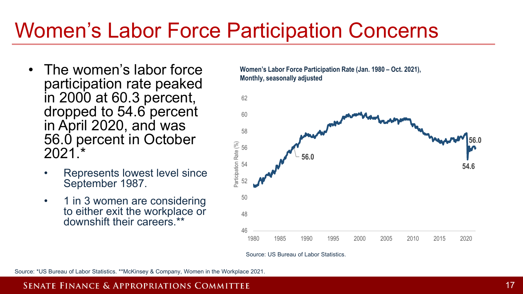## Women's Labor Force Participation Concerns

- The women's labor force participation rate peaked in 2000 at 60.3 percent, dropped to 54.6 percent in April 2020, and was 56.0 percent in October 2021.\*
	- Represents lowest level since September 1987.
	- 1 in 3 women are considering to either exit the workplace or downshift their careers.<sup>\*\*</sup>

**Women's Labor Force Participation Rate (Jan. 1980 – Oct. 2021), Monthly, seasonally adjusted**



Source: US Bureau of Labor Statistics.

Source: \*US Bureau of Labor Statistics. \*\*McKinsey & Company, Women in the Workplace 2021.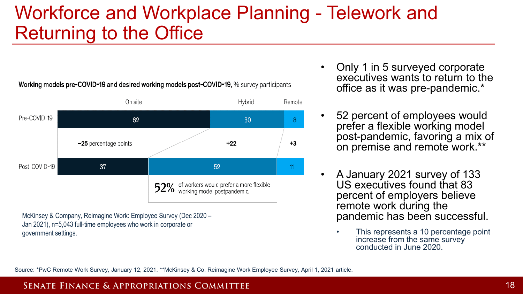## Workforce and Workplace Planning - Telework and Returning to the Office

#### Working models pre-COVID-19 and desired working models post-COVID-19, % survey participants



McKinsey & Company, Reimagine Work: Employee Survey (Dec 2020 – Jan 2021), n=5,043 full-time employees who work in corporate or government settings.

- Only 1 in 5 surveyed corporate executives wants to return to the office as it was pre-pandemic.\*
- 52 percent of employees would prefer a flexible working model post-pandemic, favoring a mix of on premise and remote work.\*\*
- A January 2021 survey of 133 US executives found that 83 percent of employers believe remote work during the pandemic has been successful.
	- This represents a 10 percentage point increase from the same survey conducted in June 2020.

Source: \*PwC Remote Work Survey, January 12, 2021. \*\*McKinsey & Co, Reimagine Work Employee Survey, April 1, 2021 article.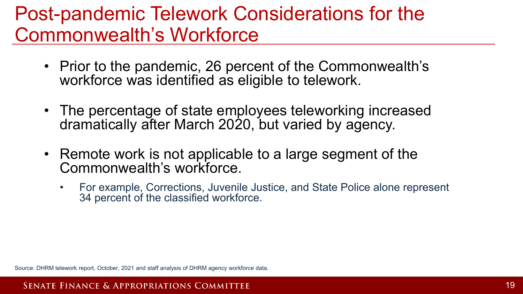## Post-pandemic Telework Considerations for the Commonwealth's Workforce

- Prior to the pandemic, 26 percent of the Commonwealth's workforce was identified as eligible to telework.
- The percentage of state employees teleworking increased dramatically after March 2020, but varied by agency.
- Remote work is not applicable to a large segment of the Commonwealth's workforce.
	- For example, Corrections, Juvenile Justice, and State Police alone represent 34 percent of the classified workforce.

Source: DHRM telework report, October, 2021 and staff analysis of DHRM agency workforce data.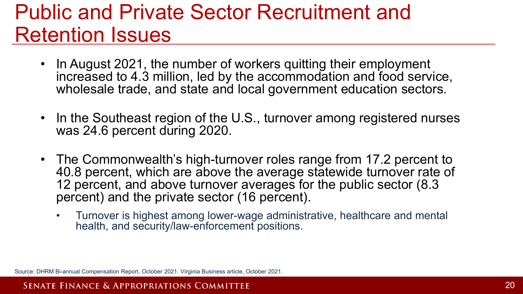## Public and Private Sector Recruitment and Retention Issues

- In August 2021, the number of workers quitting their employment increased to 4.3 million, led by the accommodation and food service, wholesale trade, and state and local government education sectors.
- In the Southeast region of the U.S., turnover among registered nurses was 24.6 percent during 2020.
- The Commonwealth's high-turnover roles range from 17.2 percent to 40.8 percent, which are above the average statewide turnover rate of 12 percent, and above turnover averages for the public sector (8.3 percent) and the private sector (16 percent).
	- Turnover is highest among lower-wage administrative, healthcare and mental health, and security/law-enforcement positions.

Source: DHRM Bi-annual Compensation Report, October 2021. Virginia Business article, October 2021.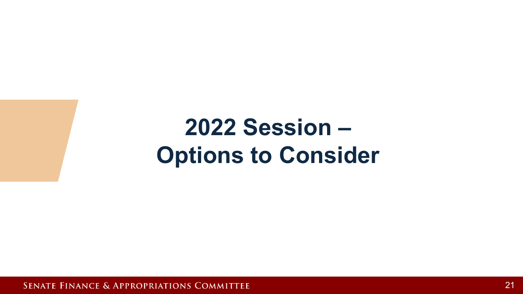# **Options to Consider 2022 Session –**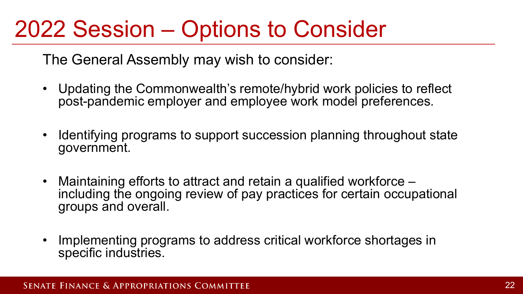## 2022 Session – Options to Consider

The General Assembly may wish to consider:

- Updating the Commonwealth's remote/hybrid work policies to reflect post-pandemic employer and employee work model preferences.
- Identifying programs to support succession planning throughout state government.
- Maintaining efforts to attract and retain a qualified workforce –<br>including the ongoing review of pay practices for certain occupational groups and overall.
- Implementing programs to address critical workforce shortages in specific industries.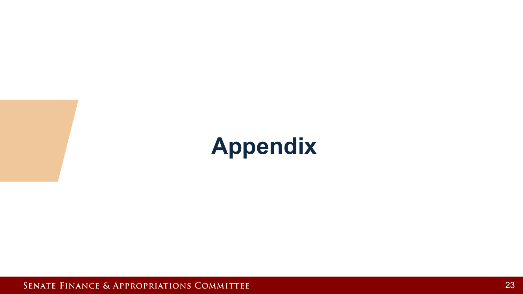# **Appendix**